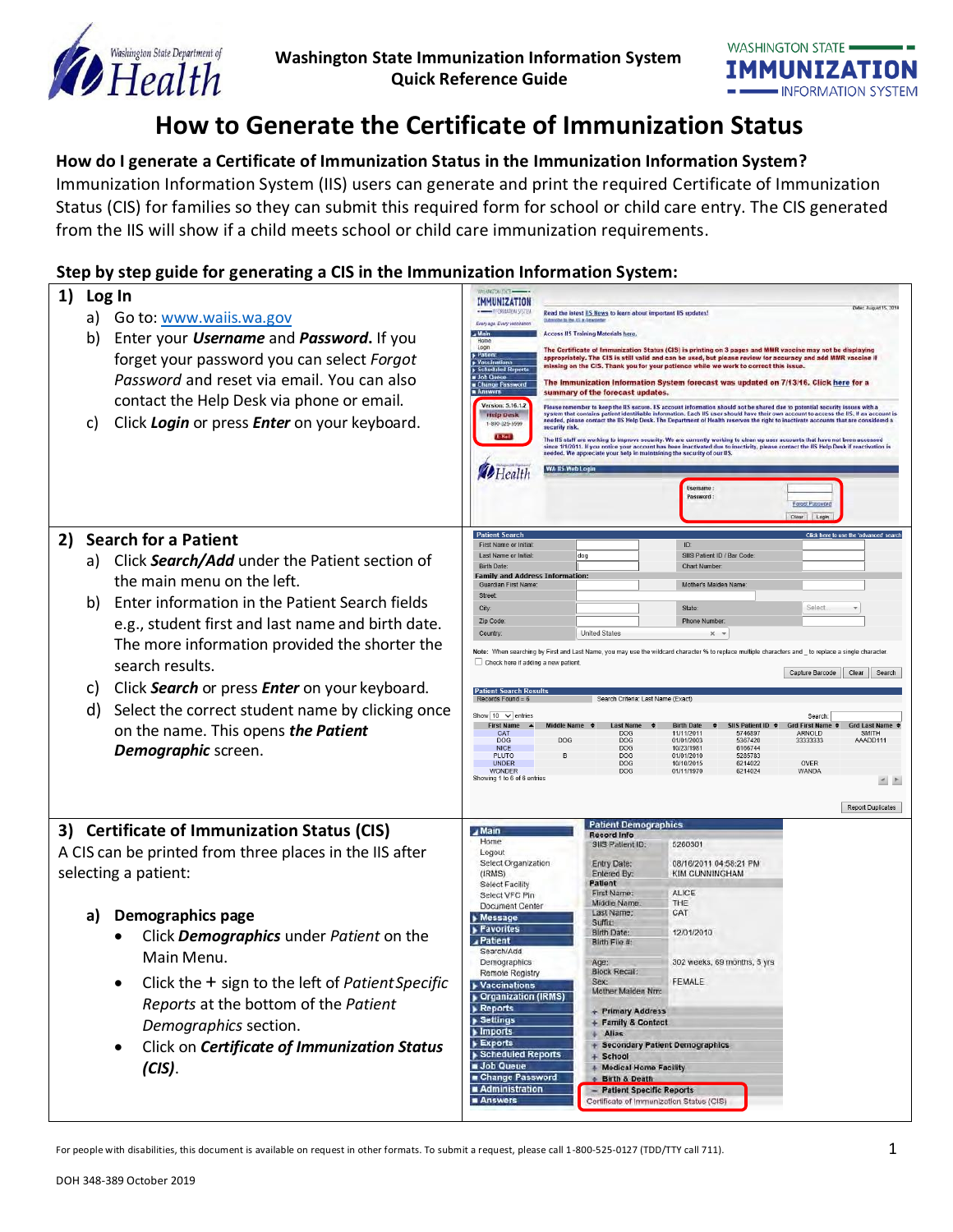



# **How to Generate the Certificate of Immunization Status**

## **How do I generate a Certificate of Immunization Status in the Immunization Information System?**

Immunization Information System (IIS) users can generate and print the required Certificate of Immunization Status (CIS) for families so they can submit this required form for school or child care entry. The CIS generated from the IIS will show if a child meets school or child care immunization requirements.

### **Step by step guide for generating a CIS in the Immunization Information System:**

| 1)<br>Log In<br>Go to: www.waiis.wa.gov<br>a)<br>Enter your <i>Username</i> and <i>Password</i> . If you<br>b)<br>forget your password you can select Forgot<br>Password and reset via email. You can also<br>contact the Help Desk via phone or email.<br>Click Login or press Enter on your keyboard.<br>C)                                                                                                                                                                          | IMMUNIZATION<br>Date: August 15, 2011<br>-- NOMMEN SYSTEM<br>Read the latest ILS News to learn about important ILS updates<br>Eubersche in the ISE a Newslet<br>Every age. Every veccination<br>a Main<br><b>Access ItS Training Materials here.</b><br>Login<br>The Certificate of Immunization Status (CIS) is printing on 3 pages and MMR vaccine may not be displaying<br>Patio<br>appropriately. The CIS is still valid and can be used, but please review for accuracy and add MMR vaccine if<br>Vaccina<br>missing on the CIS. Thank you for your patience while we work to correct this issue<br><b>Scheduled Reports</b><br>Job Queue<br>The Immunization Information System forecast was updated on 7/13/16. Click here for a<br>Change Password<br><b>Answers</b><br>summary of the forecast updates.<br>Version: 5.16.1.2<br>Please remember to keep the US secure. US account information should not be shared due to potential security issues with a<br>system that contains patient identifiable information. Each IIS user should have their own account to access the IIS. If an account is<br>Help Desk<br>needed, please contact the ES Help Desk. The Department of Health reserves the right to inactivate accou<br>its that are considered a<br>1-800-325-5599<br>security risk.<br>The IIS staff are working to improve security. We are currently working to clean up user accounts that have not been accessed<br>since 1/1/2011. If you notice your account has been inactivated due to inactivity, please contact the IIS Help Desk if reactivation is<br>eeded. We appreciate your help in maintaining the security of our IIS.<br><b>WA IS Web Logi</b><br><b>A</b> Health<br>Username:<br>Password:<br>Forcet Par<br>Clear Login |
|----------------------------------------------------------------------------------------------------------------------------------------------------------------------------------------------------------------------------------------------------------------------------------------------------------------------------------------------------------------------------------------------------------------------------------------------------------------------------------------|-----------------------------------------------------------------------------------------------------------------------------------------------------------------------------------------------------------------------------------------------------------------------------------------------------------------------------------------------------------------------------------------------------------------------------------------------------------------------------------------------------------------------------------------------------------------------------------------------------------------------------------------------------------------------------------------------------------------------------------------------------------------------------------------------------------------------------------------------------------------------------------------------------------------------------------------------------------------------------------------------------------------------------------------------------------------------------------------------------------------------------------------------------------------------------------------------------------------------------------------------------------------------------------------------------------------------------------------------------------------------------------------------------------------------------------------------------------------------------------------------------------------------------------------------------------------------------------------------------------------------------------------------------------------------------------------------------------------------------------------------------------------|
| <b>Search for a Patient</b><br>2)<br>Click Search/Add under the Patient section of<br>a)<br>the main menu on the left.<br>Enter information in the Patient Search fields<br>b)<br>e.g., student first and last name and birth date.<br>The more information provided the shorter the<br>search results.<br>Click Search or press Enter on your keyboard.<br>C)<br>Select the correct student name by clicking once<br>d)<br>on the name. This opens the Patient<br>Demographic screen. | <b>Patient Search</b><br>Click here to use the 'advanced'<br>First Name or Initia<br>ID:<br>Last Name or Initia<br>SIIS Patient ID / Bar Code<br>dog<br><b>Birth Date</b><br><b>Chart Number</b><br><b>Family and Address Information:</b><br>Mother's Maiden Name<br><b>Guardian First Name</b><br><b>Street</b><br>City:<br>Select.<br>State:<br>Zip Code<br>Phone Number<br>Country<br><b>United States</b><br>$\times$ $\times$<br>Note: When searching by First and Last Name, you may use the wildcard character % to replace multiple characters and _ to replace a single character<br>Check here if adding a new patient<br>Capture Barcode<br>Clear<br>Search<br><b>Patient Search Res</b><br>Search Criteria: Last Name (Exact)<br>Show $10 \sqrt{\frac{3}{2}}$ entries<br>Search<br><b>Grd First Name</b><br><b>First Name</b><br><b>IS Patient ID</b><br><b>Grd Last Name</b><br><b>Last Name</b><br><b>Birth Date</b><br>5746897<br>SMITH<br>CAT<br><b>DOG</b><br>11/11/2011<br><b>ARNOLD</b><br>DOG<br>5367420<br>33333333<br>AAADD111<br>DOG<br>DOG<br>01/01/2003<br><b>NICE</b><br>6166744<br><b>DOG</b><br>10/23/1981<br><b>PLUTO</b><br>01/01/2010<br>5285783<br>R<br><b>DOG</b><br><b>UNDER</b><br>DOG<br>10/10/2015<br>6214022<br>OVER<br>WONDER<br>6214024<br>WANDA<br><b>DOG</b><br>01/11/1970<br>Showing 1 to 6 of 6 entries<br>$\begin{array}{c c c c} A & B \\ \hline \end{array}$                                                                                                                                                                                                                                                                                                                                                    |
| 3) Certificate of Immunization Status (CIS)<br>A CIS can be printed from three places in the IIS after<br>selecting a patient:<br>Demographics page<br>a)<br>Click Demographics under Patient on the<br>Main Menu.<br>Click the + sign to the left of Patient Specific<br>Reports at the bottom of the Patient<br>Demographics section.<br>Click on Certificate of Immunization Status<br>$(CIS)$ .                                                                                    | <b>Report Duplicates</b><br><b>Patient Demographics</b><br>$\sqrt{$ Main<br>Record Info<br>Home<br>SIIS Patient ID:<br>5260301<br>Logout<br>Select Organization<br><b>Entry Date:</b><br>08/16/2011 04:58:21 PM<br><b>KIM CUNNINGHAM</b><br>(IRMS)<br><b>Entered By:</b><br>Patient<br>Select Facility<br><b>ALICE</b><br>First Name:<br>Select VFC Pin<br>THE<br>Middle Name<br><b>Document Center</b><br>CAT<br>Last Name:<br>$\blacktriangleright$ Message<br><b>Suffix:</b><br><b>Favorites</b><br><b>Birth Date:</b><br>12/01/2010<br><b>Patient</b><br>Birth File #<br>Search/Add<br>Demographics<br>302 weeks, 69 months, 5 yrs<br>Age:<br><b>Block Recall</b><br>Remote Registry<br>FEMALE<br>Sex:<br><b>L</b> Vaccinations<br>Mother Maiden Nm:<br><b>Organization (IRMS)</b><br><b>Reports</b><br>+ Primary Address<br><b>Settings</b><br>+ Family & Contact<br>$\blacktriangleright$ Imports<br>Alias<br><b>Exports</b><br>+ Secondary Patient Demographics<br>Scheduled Reports<br>+ School<br>Job Queue<br>+ Medical Home Facility<br>Change Password<br>+ Birth & Death<br>Administration<br>- Patient Specific Reports<br><b>Answers</b><br>Certificate of Immunization Status (CIS)                                                                                                                                                                                                                                                                                                                                                                                                                                                                                                                                                             |

For people with disabilities, this document is available on request in other formats. To submit a request, please call 1-800-525-0127 (TDD/TTY call 711).  $1$